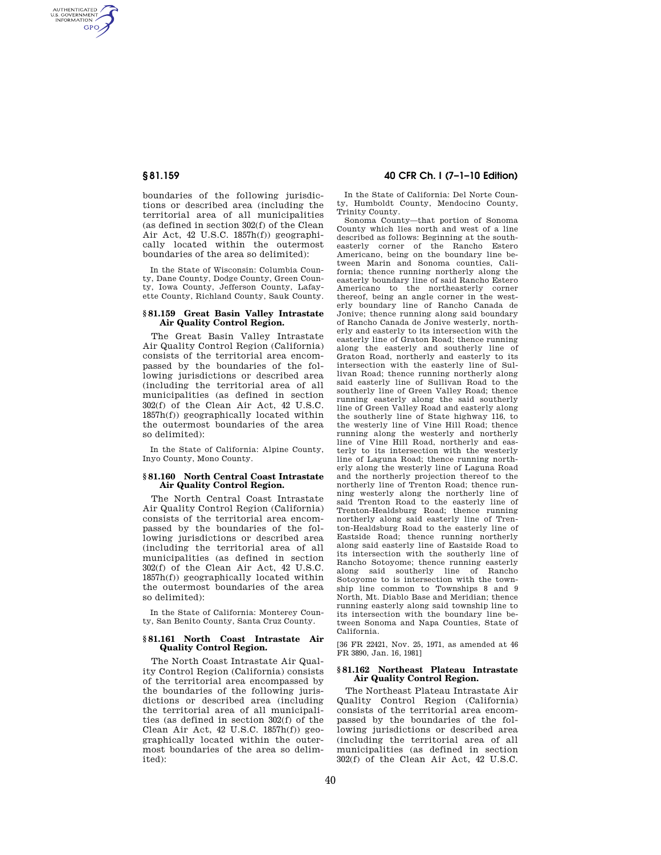AUTHENTICATED<br>U.S. GOVERNMENT<br>INFORMATION **GPO** 

> boundaries of the following jurisdictions or described area (including the territorial area of all municipalities (as defined in section 302(f) of the Clean Air Act, 42 U.S.C. 1857h(f)) geographically located within the outermost boundaries of the area so delimited):

> In the State of Wisconsin: Columbia County, Dane County, Dodge County, Green County, Iowa County, Jefferson County, Lafayette County, Richland County, Sauk County.

# **§ 81.159 Great Basin Valley Intrastate Air Quality Control Region.**

The Great Basin Valley Intrastate Air Quality Control Region (California) consists of the territorial area encompassed by the boundaries of the following jurisdictions or described area (including the territorial area of all municipalities (as defined in section 302(f) of the Clean Air Act, 42 U.S.C. 1857h(f)) geographically located within the outermost boundaries of the area so delimited):

In the State of California: Alpine County, Inyo County, Mono County.

#### **§ 81.160 North Central Coast Intrastate Air Quality Control Region.**

The North Central Coast Intrastate Air Quality Control Region (California) consists of the territorial area encompassed by the boundaries of the following jurisdictions or described area (including the territorial area of all municipalities (as defined in section 302(f) of the Clean Air Act, 42 U.S.C. 1857h(f)) geographically located within the outermost boundaries of the area so delimited):

In the State of California: Monterey County, San Benito County, Santa Cruz County.

## **§ 81.161 North Coast Intrastate Air Quality Control Region.**

The North Coast Intrastate Air Quality Control Region (California) consists of the territorial area encompassed by the boundaries of the following jurisdictions or described area (including the territorial area of all municipalities (as defined in section 302(f) of the Clean Air Act, 42 U.S.C. 1857h(f)) geographically located within the outermost boundaries of the area so delimited):

# **§ 81.159 40 CFR Ch. I (7–1–10 Edition)**

In the State of California: Del Norte County, Humboldt County, Mendocino County, Trinity County.

Sonoma County—that portion of Sonoma County which lies north and west of a line described as follows: Beginning at the southeasterly corner of the Rancho Estero Americano, being on the boundary line between Marin and Sonoma counties, California; thence running northerly along the easterly boundary line of said Rancho Estero Americano to the northeasterly corner thereof, being an angle corner in the westerly boundary line of Rancho Canada de Jonive; thence running along said boundary of Rancho Canada de Jonive westerly, northerly and easterly to its intersection with the easterly line of Graton Road; thence running along the easterly and southerly line of Graton Road, northerly and easterly to its intersection with the easterly line of Sullivan Road; thence running northerly along said easterly line of Sullivan Road to the southerly line of Green Valley Road; thence running easterly along the said southerly line of Green Valley Road and easterly along the southerly line of State highway 116, to the westerly line of Vine Hill Road; thence running along the westerly and northerly line of Vine Hill Road, northerly and easterly to its intersection with the westerly line of Laguna Road; thence running northerly along the westerly line of Laguna Road and the northerly projection thereof to the northerly line of Trenton Road; thence running westerly along the northerly line of said Trenton Road to the easterly line of Trenton-Healdsburg Road; thence running northerly along said easterly line of Trenton-Healdsburg Road to the easterly line of Eastside Road; thence running northerly along said easterly line of Eastside Road to its intersection with the southerly line of Rancho Sotoyome; thence running easterly along said southerly line of Rancho Sotoyome to is intersection with the township line common to Townships 8 and 9 North, Mt. Diablo Base and Meridian; thence running easterly along said township line to its intersection with the boundary line between Sonoma and Napa Counties, State of California.

[36 FR 22421, Nov. 25, 1971, as amended at 46 FR 3890, Jan. 16, 1981]

# **§ 81.162 Northeast Plateau Intrastate Air Quality Control Region.**

The Northeast Plateau Intrastate Air Quality Control Region (California) consists of the territorial area encompassed by the boundaries of the following jurisdictions or described area (including the territorial area of all municipalities (as defined in section 302(f) of the Clean Air Act, 42 U.S.C.